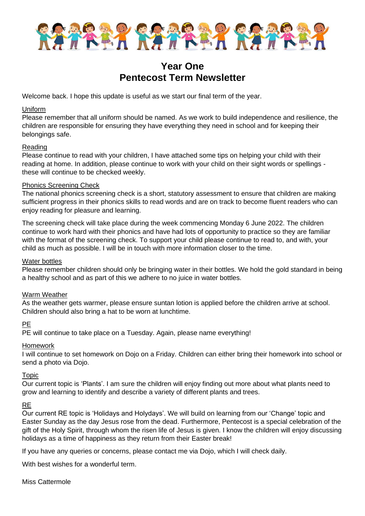

## **Year One Pentecost Term Newsletter**

Welcome back. I hope this update is useful as we start our final term of the year.

#### Uniform

Please remember that all uniform should be named. As we work to build independence and resilience, the children are responsible for ensuring they have everything they need in school and for keeping their belongings safe.

#### Reading

Please continue to read with your children, I have attached some tips on helping your child with their reading at home. In addition, please continue to work with your child on their sight words or spellings these will continue to be checked weekly.

#### Phonics Screening Check

The national phonics screening check is a short, statutory assessment to ensure that children are making sufficient progress in their phonics skills to read words and are on track to become fluent readers who can enjoy reading for pleasure and learning.

The screening check will take place during the week commencing Monday 6 June 2022. The children continue to work hard with their phonics and have had lots of opportunity to practice so they are familiar with the format of the screening check. To support your child please continue to read to, and with, your child as much as possible. I will be in touch with more information closer to the time.

#### Water bottles

Please remember children should only be bringing water in their bottles. We hold the gold standard in being a healthy school and as part of this we adhere to no juice in water bottles.

#### Warm Weather

As the weather gets warmer, please ensure suntan lotion is applied before the children arrive at school. Children should also bring a hat to be worn at lunchtime.

#### PE

PE will continue to take place on a Tuesday. Again, please name everything!

#### Homework

I will continue to set homework on Dojo on a Friday. Children can either bring their homework into school or send a photo via Dojo.

#### Topic

Our current topic is 'Plants'. I am sure the children will enjoy finding out more about what plants need to grow and learning to identify and describe a variety of different plants and trees.

#### RE

Our current RE topic is 'Holidays and Holydays'. We will build on learning from our 'Change' topic and Easter Sunday as the day Jesus rose from the dead. Furthermore, Pentecost is a special celebration of the gift of the Holy Spirit, through whom the risen life of Jesus is given. I know the children will enjoy discussing holidays as a time of happiness as they return from their Easter break!

If you have any queries or concerns, please contact me via Dojo, which I will check daily.

With best wishes for a wonderful term.

Miss Cattermole